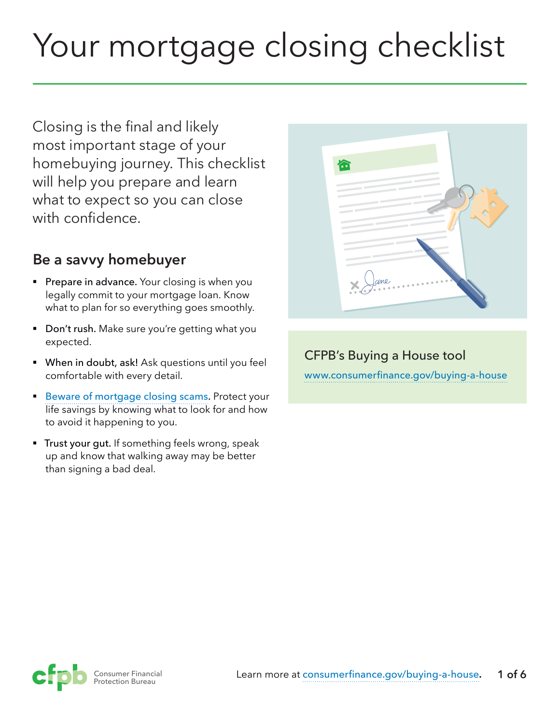# Your mortgage closing checklist

Closing is the final and likely most important stage of your homebuying journey. This checklist will help you prepare and learn what to expect so you can close with confidence.

# **Be a savvy homebuyer**

- **Prepare in advance.** Your closing is when you legally commit to your mortgage loan. Know what to plan for so everything goes smoothly.
- Don't rush. Make sure you're getting what you expected.
- **When in doubt, ask!** Ask questions until you feel comfortable with every detail.
- [Beware of mortgage closing scams.](https://www.consumerfinance.gov/about-us/blog/buying-home-watch-out-mortgage-closing-scams/) Protect your life savings by knowing what to look for and how to avoid it happening to you.
- **Trust your gut.** If something feels wrong, speak up and know that walking away may be better than signing a bad deal.

| 偷                                                                                                                                                                                                                                                                                                                                                                                                                                                                                             |
|-----------------------------------------------------------------------------------------------------------------------------------------------------------------------------------------------------------------------------------------------------------------------------------------------------------------------------------------------------------------------------------------------------------------------------------------------------------------------------------------------|
| <b>COLLECTION</b><br>$\sim$<br>m C<br><b>COLLEGE</b><br>$\sim$                                                                                                                                                                                                                                                                                                                                                                                                                                |
| $\sim$<br><b>Contract Contract</b><br>$\sim$<br>$\frac{1}{2} \left( \frac{1}{2} \right)^{2} \left( \frac{1}{2} \right)^{2} \left( \frac{1}{2} \right)^{2} \left( \frac{1}{2} \right)^{2} \left( \frac{1}{2} \right)^{2} \left( \frac{1}{2} \right)^{2} \left( \frac{1}{2} \right)^{2} \left( \frac{1}{2} \right)^{2} \left( \frac{1}{2} \right)^{2} \left( \frac{1}{2} \right)^{2} \left( \frac{1}{2} \right)^{2} \left( \frac{1}{2} \right)^{2} \left( \frac{1}{2} \right)^{2} \left( \frac$ |
| $\sim$<br>- 1<br>$\sim$<br>$\overline{\phantom{a}}$<br>$\sim$<br>٠                                                                                                                                                                                                                                                                                                                                                                                                                            |
| $\sim$<br>÷<br>$\sim$<br>$\overline{\phantom{a}}$                                                                                                                                                                                                                                                                                                                                                                                                                                             |
| $\times$ Jame                                                                                                                                                                                                                                                                                                                                                                                                                                                                                 |
|                                                                                                                                                                                                                                                                                                                                                                                                                                                                                               |

# CFPB's Buying a House tool [www.](http://www.consumerfinance.gov/owning-a-home)[consumerfinance.gov/buying-a-house](https://www.consumerfinance.gov/owning-a-home)

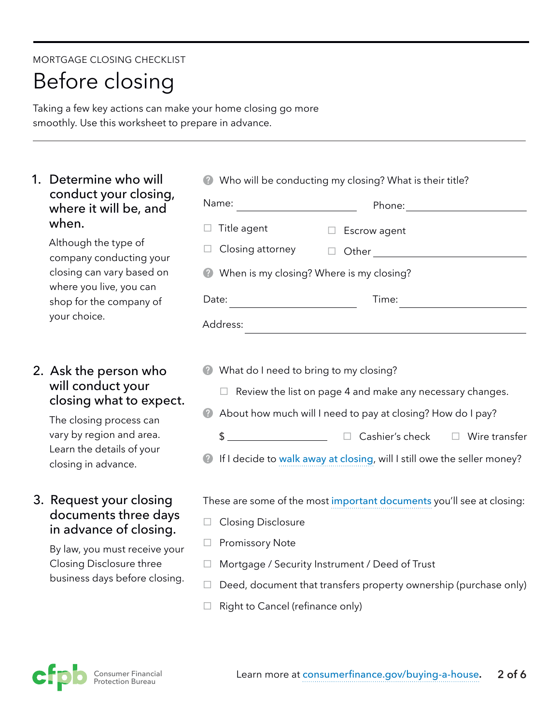#### MORTGAGE CLOSING CHECKLIST

# Before closing

Taking a few key actions can make your home closing go more smoothly. Use this worksheet to prepare in advance.

#### 1. Determine who will conduct your closing, where it will be, and when.

Although the type of company conducting your closing can vary based on where you live, you can shop for the company of your choice.

### 2. Ask the person who will conduct your closing what to expect.

The closing process can vary by region and area. Learn the details of your closing in advance.

#### 3. Request your closing documents three days in advance of closing.

By law, you must receive your Closing Disclosure three business days before closing.

| • Who will be conducting my closing? What is their title? |              |  |
|-----------------------------------------------------------|--------------|--|
| Name:                                                     | Phone:       |  |
| $\Box$ Title agent                                        | Escrow agent |  |
| Closing attorney<br>ப                                     | Other        |  |
| When is my closing? Where is my closing?                  |              |  |
| Date:                                                     | Time:        |  |
| Address:                                                  |              |  |

- **What do I need to bring to my closing?** 
	- $\Box$  Review the list on page 4 and make any necessary changes.
- About how much will I need to pay at closing? How do I pay?
	- \$ ¨ Cashier's check ¨ Wire transfer
- **1** If I decide to [walk away at closing](http://www.consumerfinance.gov/askcfpb/185/at-the-mortgage-loan-closing-do-i-have-to-sign-if-i-dont-like-the-terms-can-i-walk-away.html), will I still owe the seller money?

These are some of the most [important documents](http://www.consumerfinance.gov/owning-a-home/resources/mortgage_closing_forms.pdf) you'll see at closing:

- $\Box$  Closing Disclosure
- $\Box$  Promissory Note
- $\Box$  Mortgage / Security Instrument / Deed of Trust
- $\Box$  Deed, document that transfers property ownership (purchase only)
- $\Box$  Right to Cancel (refinance only)

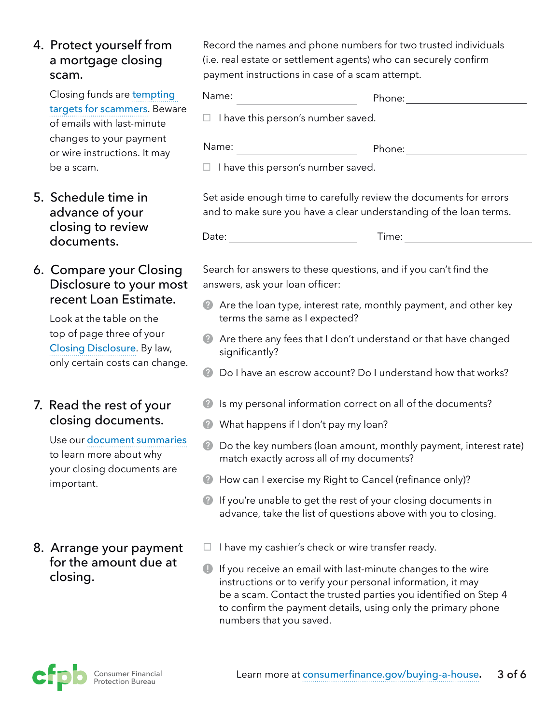### 4. Protect yourself from a mortgage closing scam.

Closing funds are [tempting](https://www.consumerfinance.gov/about-us/blog/buying-home-watch-out-mortgage-closing-scams/)  [targets for scammers](https://www.consumerfinance.gov/about-us/blog/buying-home-watch-out-mortgage-closing-scams/). Beware of emails with last-minute changes to your payment or wire instructions. It may be a scam.

#### 5. Schedule time in advance of your closing to review documents.

### 6. Compare your Closing Disclosure to your most recent Loan Estimate.

Look at the table on the top of page three of your [Closing Disclosure](http://www.consumerfinance.gov/owning-a-home/closing-disclosure). By law, only certain costs can change.

#### 7. Read the rest of your closing documents.

Use our [document summaries](http://www.consumerfinance.gov/owning-a-home/resources/mortgage_closing_forms.pdf) to learn more about why your closing documents are important.

# 8. Arrange your payment for the amount due at closing.

Record the names and phone numbers for two trusted individuals (i.e. real estate or settlement agents) who can securely confirm payment instructions in case of a scam attempt.

| Name:                                     | Phone: |
|-------------------------------------------|--------|
| $\Box$ I have this person's number saved. |        |
| Name:                                     | Phone: |

 $\Box$  I have this person's number saved.

Set aside enough time to carefully review the documents for errors and to make sure you have a clear understanding of the loan terms.

Date: Time: Time:

Search for answers to these questions, and if you can't find the answers, ask your loan officer:

- Are the loan type, interest rate, monthly payment, and other key terms the same as I expected?
- Are there any fees that I don't understand or that have changed significantly?
- **2** Do I have an escrow account? Do I understand how that works?
- **2** Is my personal information correct on all of the documents?
- What happens if I don't pay my loan?
- **2** Do the key numbers (loan amount, monthly payment, interest rate) match exactly across all of my documents?
- **A** How can I exercise my Right to Cancel (refinance only)?
- **2** If you're unable to get the rest of your closing documents in advance, take the list of questions above with you to closing.
- $\Box$  I have my cashier's check or wire transfer ready.
- **If you receive an email with last-minute changes to the wire** instructions or to verify your personal information, it may be a scam. Contact the trusted parties you identified on Step 4 to confirm the payment details, using only the primary phone numbers that you saved.

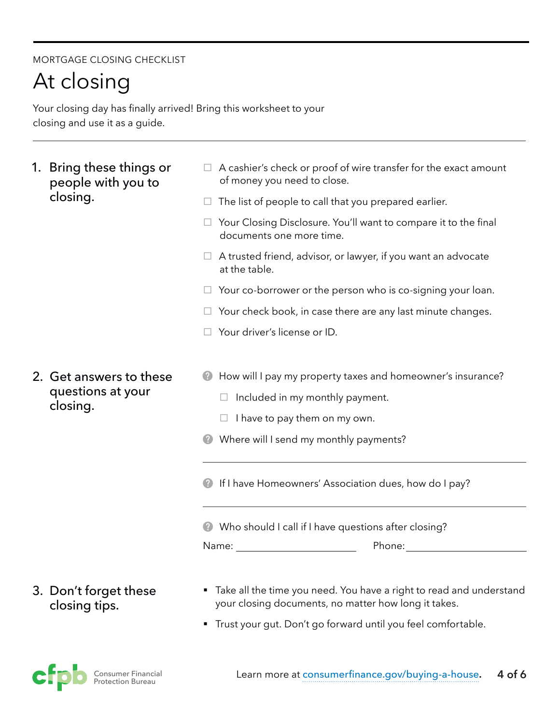#### MORTGAGE CLOSING CHECKLIST

# At closing

Your closing day has finally arrived! Bring this worksheet to your closing and use it as a guide.

- 1. Bring these things or people with you to closing.
- $\Box$  A cashier's check or proof of wire transfer for the exact amount of money you need to close.
- $\Box$  The list of people to call that you prepared earlier.
- $\Box$  Your Closing Disclosure. You'll want to compare it to the final documents one more time.
- $\Box$  A trusted friend, advisor, or lawyer, if you want an advocate at the table.
- $\Box$  Your co-borrower or the person who is co-signing your loan.
- $\Box$  Your check book, in case there are any last minute changes.
- $\Box$  Your driver's license or ID.
- 2. Get answers to these questions at your closing.
- **2** How will I pay my property taxes and homeowner's insurance?
	- $\Box$  Included in my monthly payment.
	- $\Box$  I have to pay them on my own.
- **Where will I send my monthly payments?**
- **2** If I have Homeowners' Association dues, how do I pay?

Who should I call if I have questions after closing?

Name: Name: Name and Name and Name and Name and Name and Name and Name and Name and Name and Name and Name and Name and Name and Name and Name and Name and Name and Name and Name and Name and Name and Name and Name and Nam

Phone: when the contract of the contract of the contract of the contract of the contract of the contract of the contract of the contract of the contract of the contract of the contract of the contract of the contract of th

### 3. Don't forget these closing tips.

- Take all the time you need. You have a right to read and understand your closing documents, no matter how long it takes.
- Trust your gut. Don't go forward until you feel comfortable.

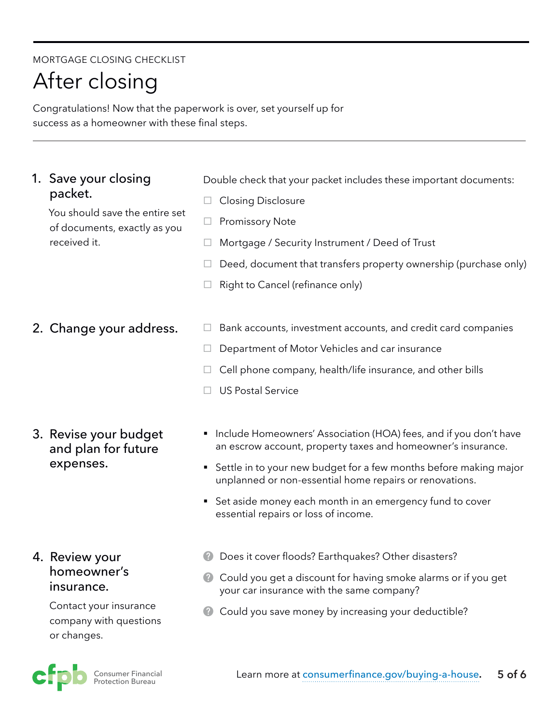#### MORTGAGE CLOSING CHECKLIST

# After closing

Congratulations! Now that the paperwork is over, set yourself up for success as a homeowner with these final steps.

#### 1. Save your closing packet.

You should save the entire set of documents, exactly as you received it.

2. Change your address.

3. Revise your budget and plan for future expenses.

#### 4. Review your homeowner's insurance.

Contact your insurance company with questions or changes.



Double check that your packet includes these important documents:

- $\Box$  Closing Disclosure
- $\Box$  Promissory Note
- $\Box$  Mortgage / Security Instrument / Deed of Trust
- $\Box$  Deed, document that transfers property ownership (purchase only)
- $\Box$  Right to Cancel (refinance only)
- $\Box$  Bank accounts, investment accounts, and credit card companies
- $\Box$  Department of Motor Vehicles and car insurance
- $\Box$  Cell phone company, health/life insurance, and other bills
- $\Box$  US Postal Service
- Include Homeowners' Association (HOA) fees, and if you don't have an escrow account, property taxes and homeowner's insurance.
- Settle in to your new budget for a few months before making major unplanned or non-essential home repairs or renovations.
- Set aside money each month in an emergency fund to cover essential repairs or loss of income.
- **Does it cover floods? Earthquakes? Other disasters?**
- **Could you get a discount for having smoke alarms or if you get** your car insurance with the same company?
- **Could you save money by increasing your deductible?**